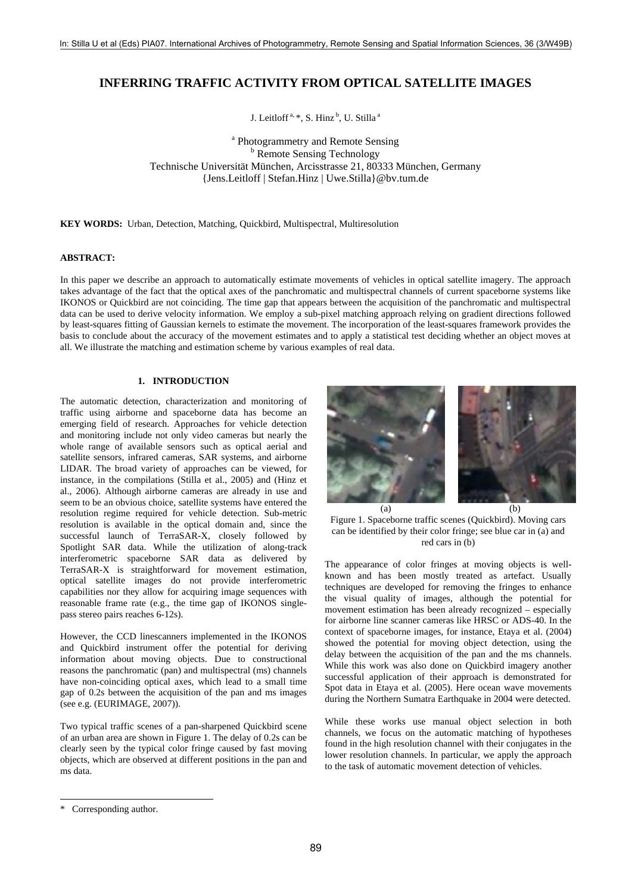# **INFERRING TRAFFIC ACTIVITY FROM OPTICAL SATELLITE IMAGES**

J. Leitloff<sup>a, \*</sup>, S. Hinz<sup>b</sup>, U. Stilla<sup>a</sup>

<sup>a</sup> Photogrammetry and Remote Sensing<br>
<sup>b</sup> Perpote Sensing Technology **b** Remote Sensing Technology Technische Universität München, Arcisstrasse 21, 80333 München, Germany {Jens.Leitloff | Stefan.Hinz | Uwe.Stilla}@bv.tum.de

**KEY WORDS:** Urban, Detection, Matching, Quickbird, Multispectral, Multiresolution

## **ABSTRACT:**

In this paper we describe an approach to automatically estimate movements of vehicles in optical satellite imagery. The approach takes advantage of the fact that the optical axes of the panchromatic and multispectral channels of current spaceborne systems like IKONOS or Quickbird are not coinciding. The time gap that appears between the acquisition of the panchromatic and multispectral data can be used to derive velocity information. We employ a sub-pixel matching approach relying on gradient directions followed by least-squares fitting of Gaussian kernels to estimate the movement. The incorporation of the least-squares framework provides the basis to conclude about the accuracy of the movement estimates and to apply a statistical test deciding whether an object moves at all. We illustrate the matching and estimation scheme by various examples of real data.

### **1. INTRODUCTION**

The automatic detection, characterization and monitoring of traffic using airborne and spaceborne data has become an emerging field of research. Approaches for vehicle detection and monitoring include not only video cameras but nearly the whole range of available sensors such as optical aerial and satellite sensors, infrared cameras, SAR systems, and airborne LIDAR. The broad variety of approaches can be viewed, for instance, in the compilations (Stilla et al., 2005) and (Hinz et al., 2006). Although airborne cameras are already in use and seem to be an obvious choice, satellite systems have entered the resolution regime required for vehicle detection. Sub-metric resolution is available in the optical domain and, since the successful launch of TerraSAR-X, closely followed by Spotlight SAR data. While the utilization of along-track interferometric spaceborne SAR data as delivered by TerraSAR-X is straightforward for movement estimation, optical satellite images do not provide interferometric capabilities nor they allow for acquiring image sequences with reasonable frame rate (e.g., the time gap of IKONOS singlepass stereo pairs reaches 6-12s).

However, the CCD linescanners implemented in the IKONOS and Quickbird instrument offer the potential for deriving information about moving objects. Due to constructional reasons the panchromatic (pan) and multispectral (ms) channels have non-coinciding optical axes, which lead to a small time gap of 0.2s between the acquisition of the pan and ms images (see e.g. (EURIMAGE, 2007)).

Two typical traffic scenes of a pan-sharpened Quickbird scene of an urban area are shown in Figure 1. The delay of 0.2s can be clearly seen by the typical color fringe caused by fast moving objects, which are observed at different positions in the pan and ms data.



Figure 1. Spaceborne traffic scenes (Quickbird). Moving cars can be identified by their color fringe; see blue car in (a) and red cars in (b)

The appearance of color fringes at moving objects is wellknown and has been mostly treated as artefact. Usually techniques are developed for removing the fringes to enhance the visual quality of images, although the potential for movement estimation has been already recognized – especially for airborne line scanner cameras like HRSC or ADS-40. In the context of spaceborne images, for instance, Etaya et al. (2004) showed the potential for moving object detection, using the delay between the acquisition of the pan and the ms channels. While this work was also done on Quickbird imagery another successful application of their approach is demonstrated for Spot data in Etaya et al. (2005). Here ocean wave movements during the Northern Sumatra Earthquake in 2004 were detected.

While these works use manual object selection in both channels, we focus on the automatic matching of hypotheses found in the high resolution channel with their conjugates in the lower resolution channels. In particular, we apply the approach to the task of automatic movement detection of vehicles.

l

<sup>\*</sup> Corresponding author.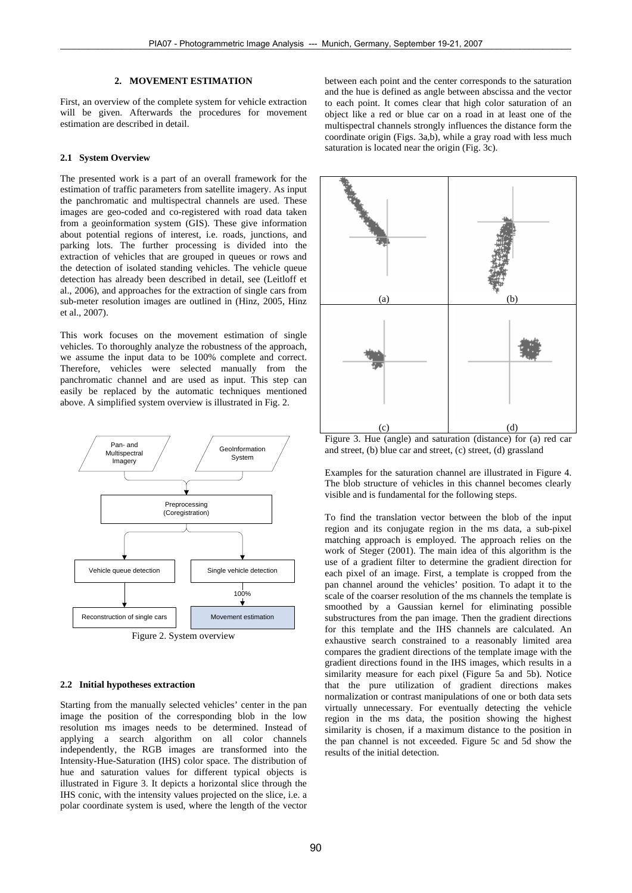## **2. MOVEMENT ESTIMATION**

First, an overview of the complete system for vehicle extraction will be given. Afterwards the procedures for movement estimation are described in detail.

#### **2.1 System Overview**

The presented work is a part of an overall framework for the estimation of traffic parameters from satellite imagery. As input the panchromatic and multispectral channels are used. These images are geo-coded and co-registered with road data taken from a geoinformation system (GIS). These give information about potential regions of interest, i.e. roads, junctions, and parking lots. The further processing is divided into the extraction of vehicles that are grouped in queues or rows and the detection of isolated standing vehicles. The vehicle queue detection has already been described in detail, see (Leitloff et al., 2006), and approaches for the extraction of single cars from sub-meter resolution images are outlined in (Hinz, 2005, Hinz et al., 2007).

This work focuses on the movement estimation of single vehicles. To thoroughly analyze the robustness of the approach, we assume the input data to be 100% complete and correct. Therefore, vehicles were selected manually from the panchromatic channel and are used as input. This step can easily be replaced by the automatic techniques mentioned above. A simplified system overview is illustrated in Fig. 2.



Figure 2. System overview

## **2.2 Initial hypotheses extraction**

Starting from the manually selected vehicles' center in the pan image the position of the corresponding blob in the low resolution ms images needs to be determined. Instead of applying a search algorithm on all color channels independently, the RGB images are transformed into the Intensity-Hue-Saturation (IHS) color space. The distribution of hue and saturation values for different typical objects is illustrated in Figure 3. It depicts a horizontal slice through the IHS conic, with the intensity values projected on the slice, i.e. a polar coordinate system is used, where the length of the vector

between each point and the center corresponds to the saturation and the hue is defined as angle between abscissa and the vector to each point. It comes clear that high color saturation of an object like a red or blue car on a road in at least one of the multispectral channels strongly influences the distance form the coordinate origin (Figs. 3a,b), while a gray road with less much saturation is located near the origin (Fig. 3c).



Figure 3. Hue (angle) and saturation (distance) for (a) red car and street, (b) blue car and street, (c) street, (d) grassland

Examples for the saturation channel are illustrated in Figure 4. The blob structure of vehicles in this channel becomes clearly visible and is fundamental for the following steps.

To find the translation vector between the blob of the input region and its conjugate region in the ms data, a sub-pixel matching approach is employed. The approach relies on the work of Steger (2001). The main idea of this algorithm is the use of a gradient filter to determine the gradient direction for each pixel of an image. First, a template is cropped from the pan channel around the vehicles' position. To adapt it to the scale of the coarser resolution of the ms channels the template is smoothed by a Gaussian kernel for eliminating possible substructures from the pan image. Then the gradient directions for this template and the IHS channels are calculated. An exhaustive search constrained to a reasonably limited area compares the gradient directions of the template image with the gradient directions found in the IHS images, which results in a similarity measure for each pixel (Figure 5a and 5b). Notice that the pure utilization of gradient directions makes normalization or contrast manipulations of one or both data sets virtually unnecessary. For eventually detecting the vehicle region in the ms data, the position showing the highest similarity is chosen, if a maximum distance to the position in the pan channel is not exceeded. Figure 5c and 5d show the results of the initial detection.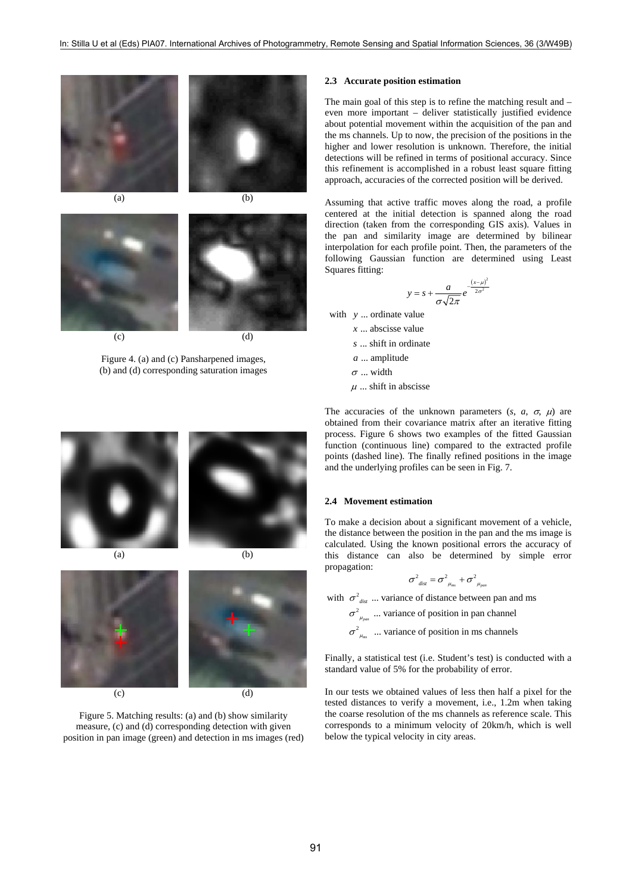





Figure 4. (a) and (c) Pansharpened images, (b) and (d) corresponding saturation images





Figure 5. Matching results: (a) and (b) show similarity measure, (c) and (d) corresponding detection with given position in pan image (green) and detection in ms images (red)

## **2.3 Accurate position estimation**

The main goal of this step is to refine the matching result and – even more important – deliver statistically justified evidence about potential movement within the acquisition of the pan and the ms channels. Up to now, the precision of the positions in the higher and lower resolution is unknown. Therefore, the initial detections will be refined in terms of positional accuracy. Since this refinement is accomplished in a robust least square fitting approach, accuracies of the corrected position will be derived.

Assuming that active traffic moves along the road, a profile centered at the initial detection is spanned along the road direction (taken from the corresponding GIS axis). Values in the pan and similarity image are determined by bilinear interpolation for each profile point. Then, the parameters of the following Gaussian function are determined using Least Squares fitting:

$$
y = s + \frac{a}{\sigma\sqrt{2\pi}}e^{-\frac{(x-\mu)^2}{2\sigma^2}}
$$

with *y* ... ordinate value

- ... abscisse value *x* ... shift in ordinate *s*
- ... amplitude *a*
- $\sigma$  ... width
- $\mu$  ... shift in abscisse

The accuracies of the unknown parameters  $(s, a, \sigma, \mu)$  are obtained from their covariance matrix after an iterative fitting process. Figure 6 shows two examples of the fitted Gaussian function (continuous line) compared to the extracted profile points (dashed line). The finally refined positions in the image and the underlying profiles can be seen in Fig. 7.

#### **2.4 Movement estimation**

To make a decision about a significant movement of a vehicle, the distance between the position in the pan and the ms image is calculated. Using the known positional errors the accuracy of this distance can also be determined by simple error propagation:

$$
\sigma^2_{\text{dist}} = \sigma^2_{\mu_{\text{max}}} + \sigma^2_{\mu_{\text{pan}}}
$$

with  $\sigma^2_{dist}$  ... variance of distance between pan and ms

 $\sigma^2_{\mu_{\text{part}}}$  ... variance of position in pan channel

 $\sigma^2_{\mu_{\text{max}}}$  ... variance of position in ms channels

Finally, a statistical test (i.e. Student's test) is conducted with a standard value of 5% for the probability of error.

In our tests we obtained values of less then half a pixel for the tested distances to verify a movement, i.e., 1.2m when taking the coarse resolution of the ms channels as reference scale. This corresponds to a minimum velocity of 20km/h, which is well below the typical velocity in city areas.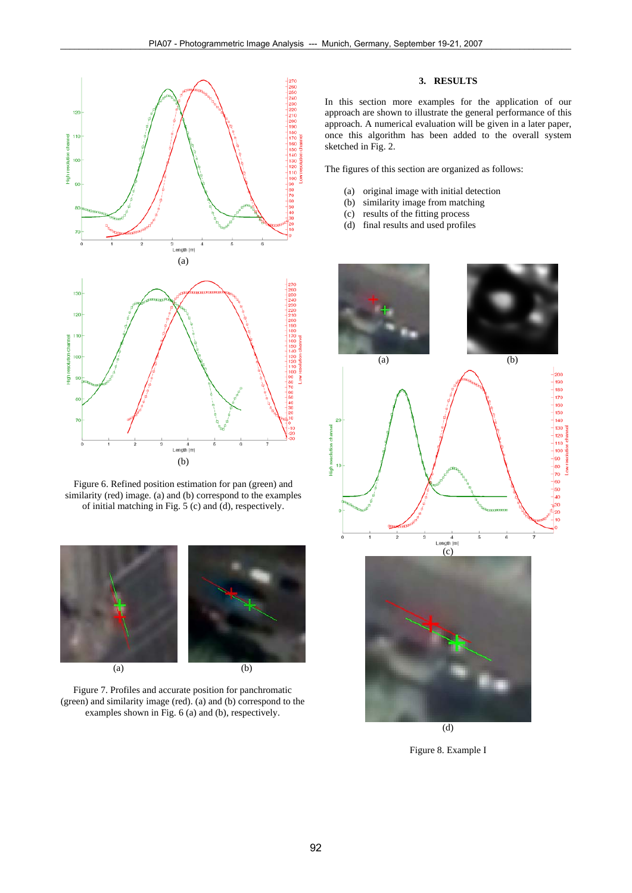

Figure 6. Refined position estimation for pan (green) and similarity (red) image. (a) and (b) correspond to the examples of initial matching in Fig. 5 (c) and (d), respectively.



Figure 7. Profiles and accurate position for panchromatic (green) and similarity image (red). (a) and (b) correspond to the examples shown in Fig. 6 (a) and (b), respectively.

## **3. RESULTS**

In this section more examples for the application of our approach are shown to illustrate the general performance of this approach. A numerical evaluation will be given in a later paper, once this algorithm has been added to the overall system sketched in Fig. 2.

The figures of this section are organized as follows:

- (a) original image with initial detection
- (b) similarity image from matching
- (c) results of the fitting process
- (d) final results and used profiles





 $\overline{(d)}$ Figure 8. Example I